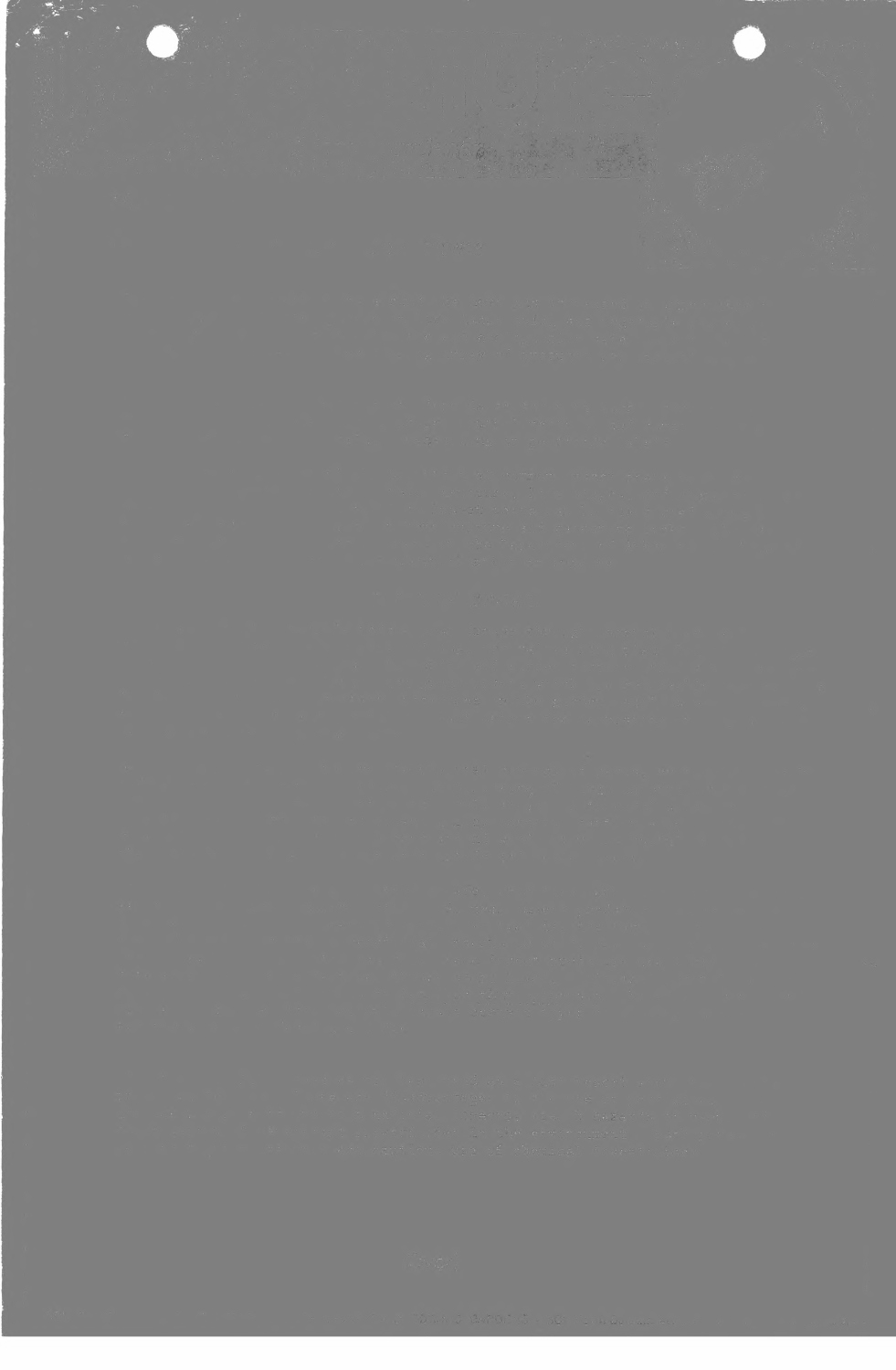

And the first control of the state of the state of the state of the state of the state of the state of the state of the state of the state of the state of the state of the state of the state of the state of the state of th 

 $\mathcal{O}(\mathcal{O}(n^2))$  . The contract of the contract of the contract of the contract of the contract of the contract of the contract of the contract of the contract of the contract of the contract of the contract of the cont a stage that we want to a limit the stage to a stage of a stage the state of the control of the con-a se provincia de la maria de la maria de la maria de la maria de la maria de la maria de la maria de la maria 

and the state of the state of the state of the state of the state of the state of the state of the state of the

the state of the con-

and the American 

 $\label{eq:3.1} \begin{array}{cccccccccc} \mathbf{w}^{\mathsf{T}} & \mathbf{w}^{\mathsf{T}} & \mathbf{w}^{\mathsf{T}} & \mathbf{w}^{\mathsf{T}} & \mathbf{w}^{\mathsf{T}} & \mathbf{w}^{\mathsf{T}} & \mathbf{w}^{\mathsf{T}} & \mathbf{w}^{\mathsf{T}} & \mathbf{w}^{\mathsf{T}} & \mathbf{w}^{\mathsf{T}} & \mathbf{w}^{\mathsf{T}} & \mathbf{w}^{\mathsf{T}} & \mathbf{w}^{\mathsf{T}} & \mathbf{w}^{\mathsf{T}} & \mathbf{w}^{\mathsf{T}} & \mathbf{w}^$ and the second state of the contract with the second state of the state of the second state of the second state of the second state of the second state of the second state of the second state of the second state of the sec 

Art President in the state of the state of the state of the state The manufacture of the state of the state of the state of the state of the state of the state of the state of  $\mathcal{L}_{\mathcal{A}}$  , where  $\mathcal{L}_{\mathcal{A}}$  is a  $\mathcal{L}_{\mathcal{A}}$ with a fact of the same to have the state of the same of the same that the same of the state of the state of the The state of the state is same in the state of the state of the state of the state of the state of the state of I a family the state that we use of the state family states the state



The same that the BU was the first that the same the same in